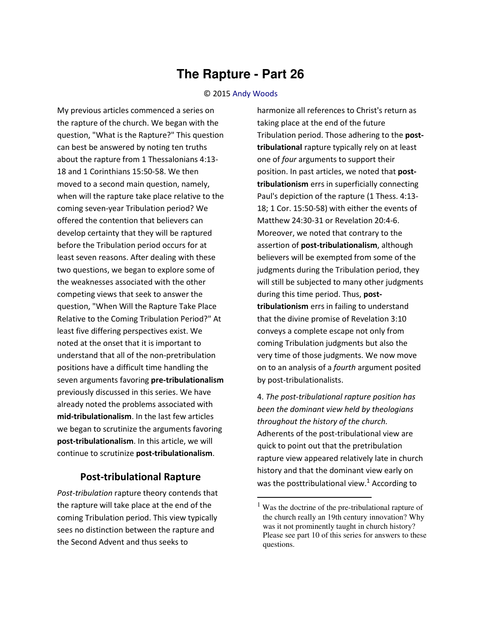## **The Rapture - Part 26**

## © 2015 [Andy Woods](http://www.spiritandtruth.org/id/aw.htm)

My previous articles commenced a series on the rapture of the church. We began with the question, "What is the Rapture?" This question can best be answered by noting ten truths about the rapture from 1 Thessalonians 4:13- 18 and 1 Corinthians 15:50-58. We then moved to a second main question, namely, when will the rapture take place relative to the coming seven-year Tribulation period? We offered the contention that believers can develop certainty that they will be raptured before the Tribulation period occurs for at least seven reasons. After dealing with these two questions, we began to explore some of the weaknesses associated with the other competing views that seek to answer the question, "When Will the Rapture Take Place Relative to the Coming Tribulation Period?" At least five differing perspectives exist. We noted at the onset that it is important to understand that all of the non-pretribulation positions have a difficult time handling the seven arguments favoring **pre-tribulationalism** previously discussed in this series. We have already noted the problems associated with **mid-tribulationalism**. In the last few articles we began to scrutinize the arguments favoring **post-tribulationalism**. In this article, we will continue to scrutinize **post-tribulationalism**.

## **Post-tribulational Rapture**

*Post-tribulation* rapture theory contends that the rapture will take place at the end of the coming Tribulation period. This view typically sees no distinction between the rapture and the Second Advent and thus seeks to

harmonize all references to Christ's return as taking place at the end of the future Tribulation period. Those adhering to the **posttribulational** rapture typically rely on at least one of *four* arguments to support their position. In past articles, we noted that **posttribulationism** errs in superficially connecting Paul's depiction of the rapture (1 Thess. 4:13- 18; 1 Cor. 15:50-58) with either the events of Matthew 24:30-31 or Revelation 20:4-6. Moreover, we noted that contrary to the assertion of **post-tribulationalism**, although believers will be exempted from some of the judgments during the Tribulation period, they will still be subjected to many other judgments during this time period. Thus, **posttribulationism** errs in failing to understand that the divine promise of Revelation 3:10 conveys a complete escape not only from coming Tribulation judgments but also the very time of those judgments. We now move on to an analysis of a *fourth* argument posited by post-tribulationalists.

4. *The post-tribulational rapture position has been the dominant view held by theologians throughout the history of the church.* Adherents of the post-tribulational view are quick to point out that the pretribulation rapture view appeared relatively late in church history and that the dominant view early on was the posttribulational view.<sup>1</sup> According to

l

<sup>&</sup>lt;sup>1</sup> Was the doctrine of the pre-tribulational rapture of the church really an 19th century innovation? Why was it not prominently taught in church history? Please see part 10 of this series for answers to these questions.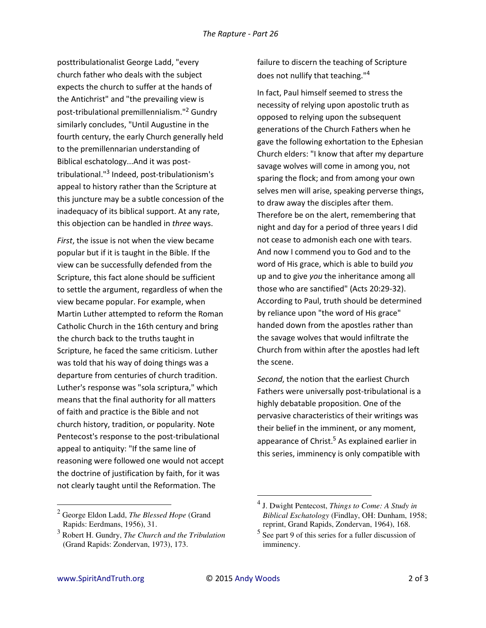posttribulationalist George Ladd, "every church father who deals with the subject expects the church to suffer at the hands of the Antichrist" and "the prevailing view is post-tribulational premillennialism."<sup>2</sup> Gundry similarly concludes, "Until Augustine in the fourth century, the early Church generally held to the premillennarian understanding of Biblical eschatology...And it was posttribulational."<sup>3</sup> Indeed, post-tribulationism's appeal to history rather than the Scripture at this juncture may be a subtle concession of the inadequacy of its biblical support. At any rate, this objection can be handled in *three* ways.

*First*, the issue is not when the view became popular but if it is taught in the Bible. If the view can be successfully defended from the Scripture, this fact alone should be sufficient to settle the argument, regardless of when the view became popular. For example, when Martin Luther attempted to reform the Roman Catholic Church in the 16th century and bring the church back to the truths taught in Scripture, he faced the same criticism. Luther was told that his way of doing things was a departure from centuries of church tradition. Luther's response was "sola scriptura," which means that the final authority for all matters of faith and practice is the Bible and not church history, tradition, or popularity. Note Pentecost's response to the post-tribulational appeal to antiquity: "If the same line of reasoning were followed one would not accept the doctrine of justification by faith, for it was not clearly taught until the Reformation. The

2 George Eldon Ladd, *The Blessed Hope* (Grand Rapids: Eerdmans, 1956), 31.

failure to discern the teaching of Scripture does not nullify that teaching."<sup>4</sup>

In fact, Paul himself seemed to stress the necessity of relying upon apostolic truth as opposed to relying upon the subsequent generations of the Church Fathers when he gave the following exhortation to the Ephesian Church elders: "I know that after my departure savage wolves will come in among you, not sparing the flock; and from among your own selves men will arise, speaking perverse things, to draw away the disciples after them. Therefore be on the alert, remembering that night and day for a period of three years I did not cease to admonish each one with tears. And now I commend you to God and to the word of His grace, which is able to build *you* up and to give *you* the inheritance among all those who are sanctified" (Acts 20:29-32). According to Paul, truth should be determined by reliance upon "the word of His grace" handed down from the apostles rather than the savage wolves that would infiltrate the Church from within after the apostles had left the scene.

*Second*, the notion that the earliest Church Fathers were universally post-tribulational is a highly debatable proposition. One of the pervasive characteristics of their writings was their belief in the imminent, or any moment, appearance of Christ.<sup>5</sup> As explained earlier in this series, imminency is only compatible with

l

 $\overline{\phantom{0}}$ 

<sup>3</sup> Robert H. Gundry, *The Church and the Tribulation* (Grand Rapids: Zondervan, 1973), 173.

<sup>4</sup> J. Dwight Pentecost, *Things to Come: A Study in Biblical Eschatology* (Findlay, OH: Dunham, 1958; reprint, Grand Rapids, Zondervan, 1964), 168.

<sup>5</sup> See part 9 of this series for a fuller discussion of imminency.